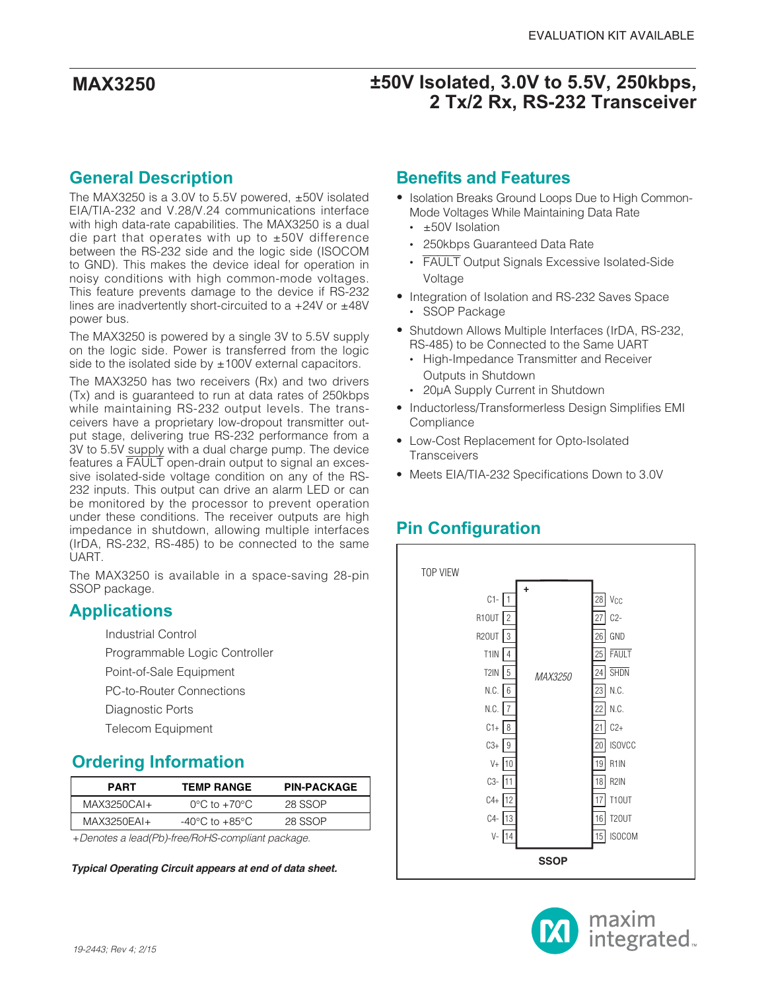## **General Description**

The MAX3250 is a 3.0V to 5.5V powered, ±50V isolated EIA/TIA-232 and V.28/V.24 communications interface with high data-rate capabilities. The MAX3250 is a dual die part that operates with up to  $\pm 50V$  difference between the RS-232 side and the logic side (ISOCOM to GND). This makes the device ideal for operation in noisy conditions with high common-mode voltages. This feature prevents damage to the device if RS-232 lines are inadvertently short-circuited to a +24V or ±48V power bus.

The MAX3250 is powered by a single 3V to 5.5V supply on the logic side. Power is transferred from the logic side to the isolated side by  $±100V$  external capacitors.

The MAX3250 has two receivers (Rx) and two drivers (Tx) and is guaranteed to run at data rates of 250kbps while maintaining RS-232 output levels. The transceivers have a proprietary low-dropout transmitter output stage, delivering true RS-232 performance from a 3V to 5.5V supply with a dual charge pump. The device features a FAULT open-drain output to signal an excessive isolated-side voltage condition on any of the RS-232 inputs. This output can drive an alarm LED or can be monitored by the processor to prevent operation under these conditions. The receiver outputs are high impedance in shutdown, allowing multiple interfaces (IrDA, RS-232, RS-485) to be connected to the same UART.

The MAX3250 is available in a space-saving 28-pin SSOP package.

### **Applications**

- Industrial Control
- Programmable Logic Controller
- Point-of-Sale Equipment
- PC-to-Router Connections
- Diagnostic Ports
- Telecom Equipment

## **Ordering Information**

| <b>PART</b>   | <b>TEMP RANGE</b>                  | <b>PIN-PACKAGE</b> |
|---------------|------------------------------------|--------------------|
| MAX3250CAI+   | $0^{\circ}$ C to $+70^{\circ}$ C   | 28 SSOP            |
| $MAX3250FAI+$ | $-40^{\circ}$ C to $+85^{\circ}$ C | 28 SSOP            |

+Denotes a lead(Pb)-free/RoHS-compliant package.

**Typical Operating Circuit appears at end of data sheet.**

### **Benefits and Features**

- **•** Isolation Breaks Ground Loops Due to High Common-Mode Voltages While Maintaining Data Rate
	- ±50V Isolation
	- 250kbps Guaranteed Data Rate
	- FAULT Output Signals Excessive Isolated-Side Voltage
- **•** Integration of Isolation and RS-232 Saves Space • SSOP Package
- **•** Shutdown Allows Multiple Interfaces (IrDA, RS-232, RS-485) to be Connected to the Same UART
	- High-Impedance Transmitter and Receiver Outputs in Shutdown
	- 20µA Supply Current in Shutdown
- Inductorless/Transformerless Design Simplifies EMI **Compliance**
- Low-Cost Replacement for Opto-Isolated **Transceivers**
- Meets EIA/TIA-232 Specifications Down to 3.0V

# **Pin Configuration**



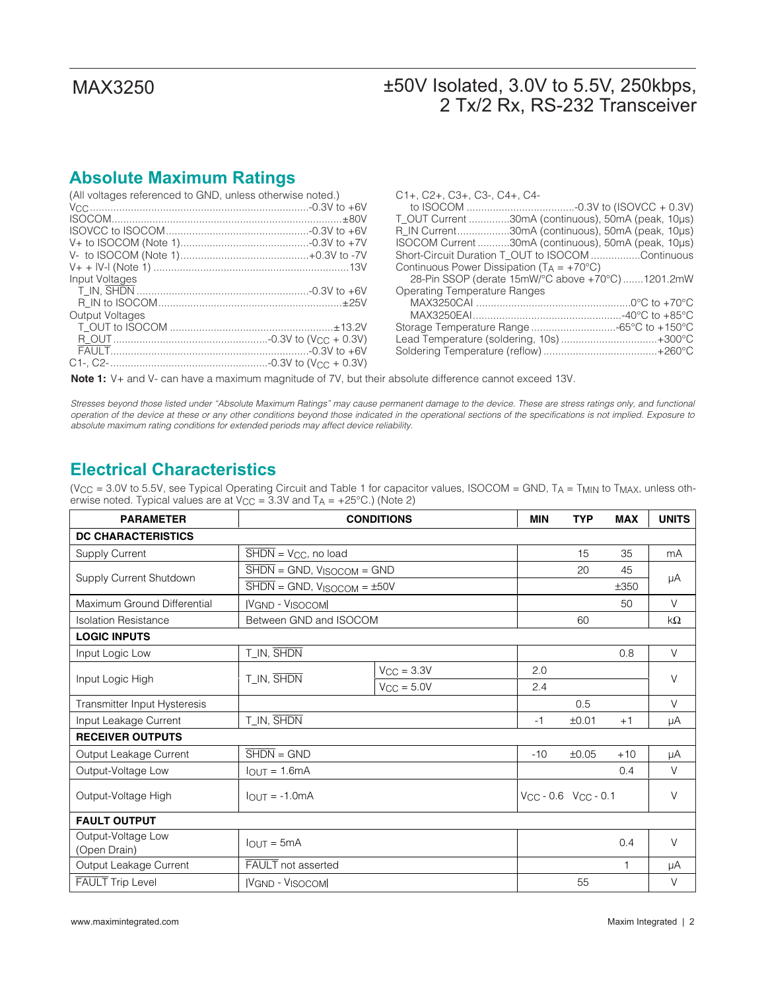## **Absolute Maximum Ratings**

| (All voltages referenced to GND, unless otherwise noted.) |  |
|-----------------------------------------------------------|--|
|                                                           |  |
|                                                           |  |
|                                                           |  |
|                                                           |  |
|                                                           |  |
|                                                           |  |
| Input Voltages                                            |  |
|                                                           |  |
|                                                           |  |
| <b>Output Voltages</b>                                    |  |
|                                                           |  |
|                                                           |  |
|                                                           |  |
|                                                           |  |

| C1+, C2+, C3+, C3-, C4+, C4-                          |
|-------------------------------------------------------|
|                                                       |
| T_OUT Current 30mA (continuous), 50mA (peak, 10µs)    |
| R_IN Current30mA (continuous), 50mA (peak, 10µs)      |
| ISOCOM Current 30mA (continuous), 50mA (peak, 10µs)   |
| Short-Circuit Duration T_OUT to ISOCOM Continuous     |
| Continuous Power Dissipation ( $T_A = +70^{\circ}C$ ) |
| 28-Pin SSOP (derate 15mW/°C above +70°C)1201.2mW      |
| Operating Temperature Ranges                          |
|                                                       |
|                                                       |
| Storage Temperature Range -65°C to +150°C             |
| Lead Temperature (soldering, 10s)+300°C               |
|                                                       |

**Note 1:** V+ and V- can have a maximum magnitude of 7V, but their absolute difference cannot exceed 13V.

Stresses beyond those listed under "Absolute Maximum Ratings" may cause permanent damage to the device. These are stress ratings only, and functional operation of the device at these or any other conditions beyond those indicated in the operational sections of the specifications is not implied. Exposure to absolute maximum rating conditions for extended periods may affect device reliability.

### **Electrical Characteristics**

(V<sub>CC</sub> = 3.0V to 5.5V, see Typical Operating Circuit and Table 1 for capacitor values, ISOCOM = GND, TA = T<sub>MIN</sub> to T<sub>MAX</sub>, unless otherwise noted. Typical values are at  $V_{CC}$  = 3.3V and T<sub>A</sub> = +25°C.) (Note 2)

| <b>PARAMETER</b>                   | <b>CONDITIONS</b>                                                        |                 | <b>MIN</b> | <b>TYP</b>                    | <b>MAX</b> | <b>UNITS</b> |
|------------------------------------|--------------------------------------------------------------------------|-----------------|------------|-------------------------------|------------|--------------|
| <b>DC CHARACTERISTICS</b>          |                                                                          |                 |            |                               |            |              |
| Supply Current                     | $\overline{\text{SHDN}}$ = V <sub>CC</sub> , no load                     |                 |            | 15                            | 35         | mA           |
|                                    | $\overline{\text{SHDN}} = \text{GND}$ , $V_{\text{ISOCOM}} = \text{GND}$ |                 |            | 20                            | 45         |              |
| Supply Current Shutdown            | $\overline{\text{SHDN}} = \text{GND}$ , $V_{\text{ISOCOM}} = \pm 50V$    |                 |            |                               | ±350       | μA           |
| Maximum Ground Differential        | <b>IVGND - VISOCOMI</b>                                                  |                 |            |                               | 50         | $\vee$       |
| <b>Isolation Resistance</b>        | Between GND and ISOCOM                                                   |                 |            | 60                            |            | $k\Omega$    |
| <b>LOGIC INPUTS</b>                |                                                                          |                 |            |                               |            |              |
| Input Logic Low                    | T_IN, SHDN                                                               |                 |            |                               | 0.8        | $\vee$       |
|                                    | T_IN, SHDN                                                               | $V_{CC} = 3.3V$ | 2.0        |                               |            | $\vee$       |
| Input Logic High                   |                                                                          | $V_{CC} = 5.0V$ | 2.4        |                               |            |              |
| Transmitter Input Hysteresis       |                                                                          |                 |            | 0.5                           |            | $\vee$       |
| Input Leakage Current              | T_IN, SHDN                                                               |                 | $-1$       | ±0.01                         | $+1$       | μA           |
| <b>RECEIVER OUTPUTS</b>            |                                                                          |                 |            |                               |            |              |
| Output Leakage Current             | $\overline{\text{SHDN}} = \text{GND}$                                    |                 | $-10$      | ±0.05                         | $+10$      | μA           |
| Output-Voltage Low                 | $IQIJT = 1.6mA$                                                          |                 |            |                               | 0.4        | V            |
| Output-Voltage High                | $I_{OUT} = -1.0mA$                                                       |                 |            | $V_{CC}$ - 0.6 $V_{CC}$ - 0.1 |            | V            |
| <b>FAULT OUTPUT</b>                |                                                                          |                 |            |                               |            |              |
| Output-Voltage Low<br>(Open Drain) | $IQUT = 5mA$                                                             |                 |            |                               | 0.4        | $\vee$       |
| Output Leakage Current             | <b>FAULT</b> not asserted                                                |                 |            |                               | 1          | μA           |
| <b>FAULT</b> Trip Level            | <b>VGND - VISOCOM</b>                                                    |                 |            | 55                            |            | V            |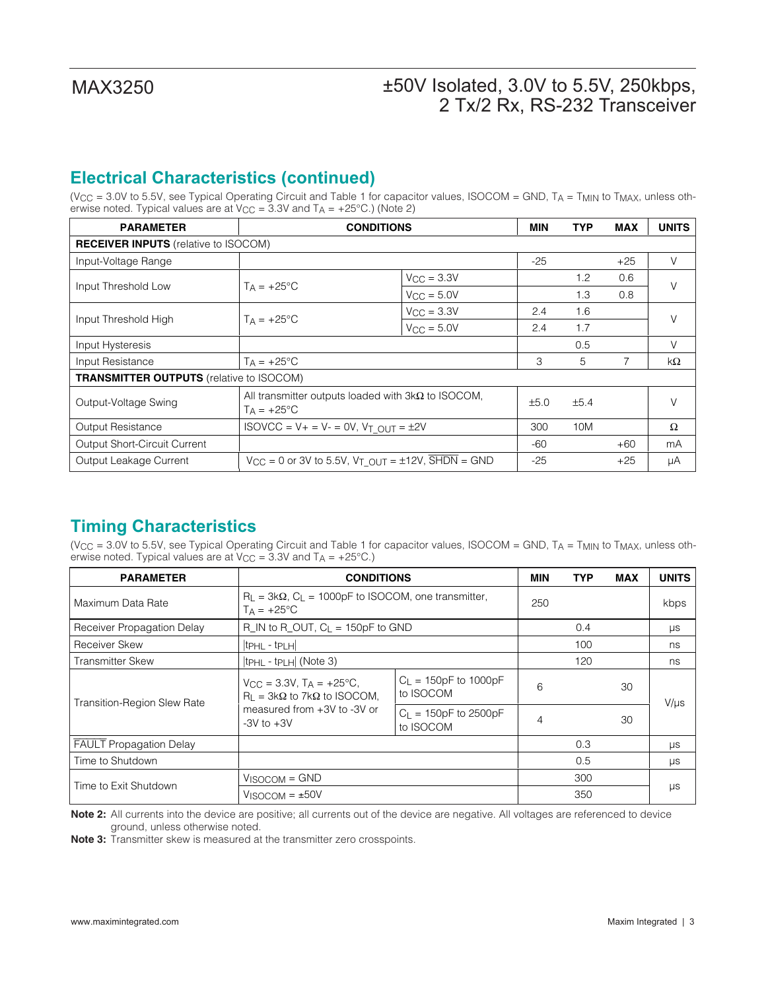# **Electrical Characteristics (continued)**

(V<sub>CC</sub> = 3.0V to 5.5V, see Typical Operating Circuit and Table 1 for capacitor values, ISOCOM = GND, TA = T<sub>MIN</sub> to T<sub>MAX</sub>, unless otherwise noted. Typical values are at  $V_{CC} = 3.3V$  and  $T_A = +25^{\circ}C$ .) (Note 2)

| <b>PARAMETER</b>                                | <b>CONDITIONS</b>                                                                     |     | <b>MIN</b> | <b>TYP</b> | <b>MAX</b> | <b>UNITS</b> |  |  |
|-------------------------------------------------|---------------------------------------------------------------------------------------|-----|------------|------------|------------|--------------|--|--|
| <b>RECEIVER INPUTS</b> (relative to ISOCOM)     |                                                                                       |     |            |            |            |              |  |  |
| Input-Voltage Range                             |                                                                                       |     | $-25$      |            | $+25$      | V            |  |  |
| Input Threshold Low                             | $V_{\text{CC}} = 3.3V$<br>$Ta = +25^{\circ}C$<br>$V_{\text{CC}} = 5.0V$               |     |            | 1.2        | 0.6        | $\vee$       |  |  |
|                                                 |                                                                                       |     |            | 1.3        | 0.8        |              |  |  |
|                                                 | $V_{\rm CC} = 3.3V$<br>$T_A = +25$ °C<br>$V_{CC} = 5.0V$                              |     | 2.4        | 1.6        |            | V            |  |  |
| Input Threshold High                            |                                                                                       | 2.4 | 1.7        |            |            |              |  |  |
| Input Hysteresis                                |                                                                                       |     |            | 0.5        |            | V            |  |  |
| Input Resistance                                | $T_A = +25$ °C                                                                        |     | 3          | 5          |            | kΩ           |  |  |
| <b>TRANSMITTER OUTPUTS</b> (relative to ISOCOM) |                                                                                       |     |            |            |            |              |  |  |
| Output-Voltage Swing                            | All transmitter outputs loaded with $3k\Omega$ to ISOCOM,<br>$T_A = +25$ °C           |     | ±5.0       | ±5.4       |            | $\vee$       |  |  |
| <b>Output Resistance</b>                        | $ISOVCC = V + = V - = 0V$ , $V_T OUT = \pm 2V$                                        |     | 300        | 10M        |            | Ω            |  |  |
| <b>Output Short-Circuit Current</b>             |                                                                                       |     | -60        |            | $+60$      | mA           |  |  |
| Output Leakage Current                          | $V_{CC} = 0$ or 3V to 5.5V, $V_T$ $_{OUT} = \pm 12V$ , $\overline{SHDN} = \text{GND}$ |     | $-25$      |            | $+25$      | μA           |  |  |

## **Timing Characteristics**

(V<sub>CC</sub> = 3.0V to 5.5V, see Typical Operating Circuit and Table 1 for capacitor values, ISOCOM = GND, T<sub>A</sub> = T<sub>MIN</sub> to T<sub>MAX</sub>, unless otherwise noted. Typical values are at  $V_{CC}$  = 3.3V and T<sub>A</sub> = +25°C.)

| <b>PARAMETER</b>                   | <b>CONDITIONS</b>                                                                              |                                        | MIN | <b>TYP</b> | MAX | <b>UNITS</b> |
|------------------------------------|------------------------------------------------------------------------------------------------|----------------------------------------|-----|------------|-----|--------------|
| Maximum Data Rate                  | $R_L = 3k\Omega$ , $C_L = 1000pF$ to ISOCOM, one transmitter,<br>$T_A = +25$ °C                |                                        | 250 |            |     | kbps         |
| Receiver Propagation Delay         | $R$ IN to R OUT, $C_L$ = 150pF to GND                                                          |                                        |     | 0.4        |     | $\mu s$      |
| Receiver Skew                      | $ t$ PHL - $t$ PLH $ $                                                                         |                                        |     | 100        |     | ns           |
| <b>Transmitter Skew</b>            | $ tpH $ - tp $H$ (Note 3)                                                                      |                                        |     | 120        |     | ns           |
| <b>Transition-Region Slew Rate</b> | $V_{\text{CC}} = 3.3V$ , T <sub>A</sub> = +25°C,<br>$R_1 = 3k\Omega$ to 7k $\Omega$ to ISOCOM, | $C_{L}$ = 150pF to 1000pF<br>to ISOCOM | 6   |            | 30  | $V/\mu s$    |
|                                    | measured from +3V to -3V or<br>$-3V$ to $+3V$                                                  | $C_L = 150pF$ to 2500pF<br>to ISOCOM   | 4   |            | 30  |              |
| <b>FAULT Propagation Delay</b>     |                                                                                                |                                        |     | 0.3        |     | $\mu s$      |
| Time to Shutdown                   |                                                                                                |                                        |     | 0.5        |     | $\mu s$      |
|                                    | $V_{ISOCOM} = GND$                                                                             |                                        |     | 300        |     |              |
| Time to Exit Shutdown              | $V_{\text{ISCOOM}} = \pm 50V$                                                                  |                                        |     | 350        |     | μs           |

**Note 2:** All currents into the device are positive; all currents out of the device are negative. All voltages are referenced to device ground, unless otherwise noted.

**Note 3:** Transmitter skew is measured at the transmitter zero crosspoints.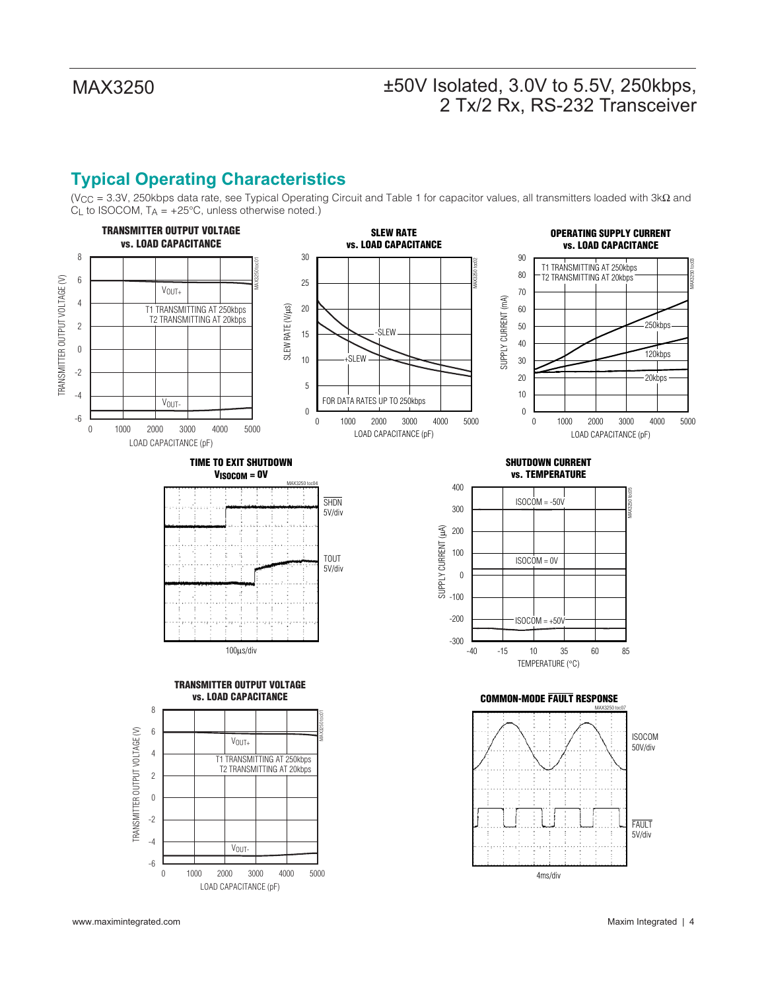# **Typical Operating Characteristics**

(VCC = 3.3V, 250kbps data rate, see Typical Operating Circuit and Table 1 for capacitor values, all transmitters loaded with 3kΩ and  $C_L$  to ISOCOM,  $T_A = +25^{\circ}C$ , unless otherwise noted.)

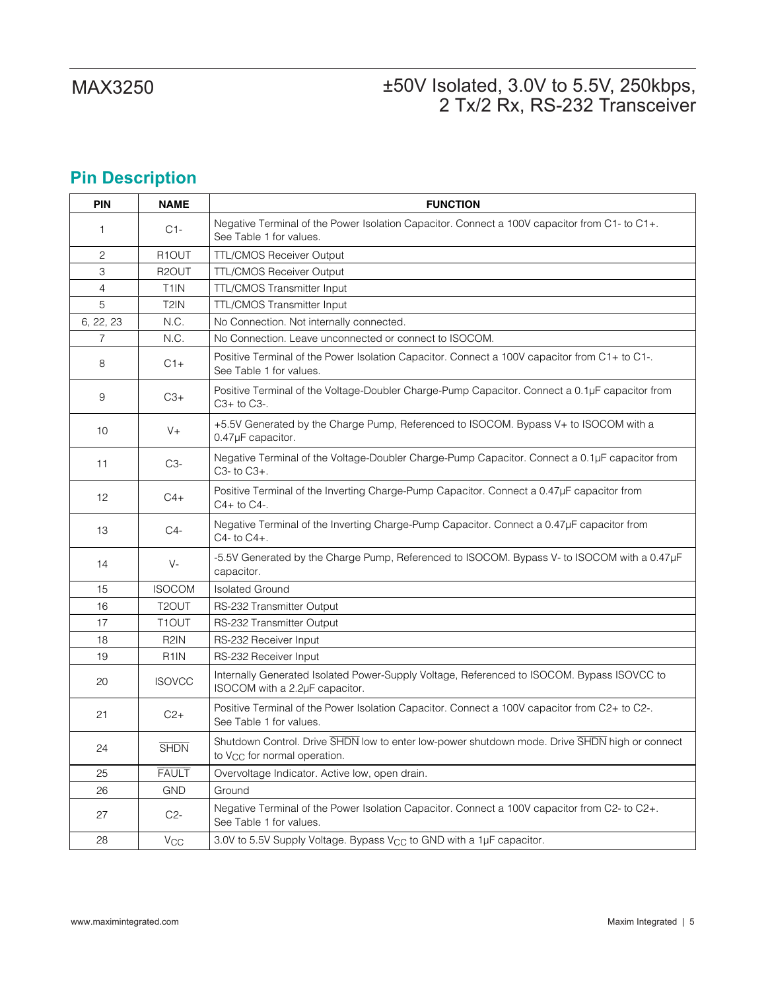# **Pin Description**

| PIN             | <b>NAME</b>        | <b>FUNCTION</b>                                                                                                                           |
|-----------------|--------------------|-------------------------------------------------------------------------------------------------------------------------------------------|
| $\mathbf{1}$    | $C1-$              | Negative Terminal of the Power Isolation Capacitor. Connect a 100V capacitor from C1- to C1+.<br>See Table 1 for values.                  |
| 2               | R <sub>1</sub> OUT | <b>TTL/CMOS Receiver Output</b>                                                                                                           |
| 3               | R <sub>2</sub> OUT | <b>TTL/CMOS Receiver Output</b>                                                                                                           |
| $\overline{4}$  | T <sub>1</sub> IN  | <b>TTL/CMOS Transmitter Input</b>                                                                                                         |
| 5               | T <sub>2</sub> IN  | <b>TTL/CMOS Transmitter Input</b>                                                                                                         |
| 6, 22, 23       | N.C.               | No Connection. Not internally connected.                                                                                                  |
| 7               | N.C.               | No Connection. Leave unconnected or connect to ISOCOM.                                                                                    |
| 8               | $C1+$              | Positive Terminal of the Power Isolation Capacitor. Connect a 100V capacitor from C1+ to C1-.<br>See Table 1 for values.                  |
| 9               | $C3+$              | Positive Terminal of the Voltage-Doubler Charge-Pump Capacitor. Connect a 0.1µF capacitor from<br>$C3+$ to $C3-$ .                        |
| 10 <sup>1</sup> | $V +$              | +5.5V Generated by the Charge Pump, Referenced to ISOCOM. Bypass V+ to ISOCOM with a<br>0.47µF capacitor.                                 |
| 11              | C3-                | Negative Terminal of the Voltage-Doubler Charge-Pump Capacitor. Connect a 0.1µF capacitor from<br>$C3-$ to $C3+$ .                        |
| 12              | $C4+$              | Positive Terminal of the Inverting Charge-Pump Capacitor. Connect a 0.47µF capacitor from<br>C4+ to C4-.                                  |
| 13              | C4-                | Negative Terminal of the Inverting Charge-Pump Capacitor. Connect a 0.47µF capacitor from<br>$C4-$ to $C4+$ .                             |
| 14              | $V -$              | -5.5V Generated by the Charge Pump, Referenced to ISOCOM. Bypass V- to ISOCOM with a 0.47µF<br>capacitor.                                 |
| 15              | <b>ISOCOM</b>      | <b>Isolated Ground</b>                                                                                                                    |
| 16              | T <sub>2</sub> OUT | RS-232 Transmitter Output                                                                                                                 |
| 17              | T <sub>1</sub> OUT | RS-232 Transmitter Output                                                                                                                 |
| 18              | R <sub>2</sub> IN  | RS-232 Receiver Input                                                                                                                     |
| 19              | R <sub>1</sub> IN  | RS-232 Receiver Input                                                                                                                     |
| 20              | <b>ISOVCC</b>      | Internally Generated Isolated Power-Supply Voltage, Referenced to ISOCOM. Bypass ISOVCC to<br>ISOCOM with a 2.2µF capacitor.              |
| 21              | $C2+$              | Positive Terminal of the Power Isolation Capacitor. Connect a 100V capacitor from C2+ to C2-.<br>See Table 1 for values.                  |
| 24              | <b>SHDN</b>        | Shutdown Control. Drive SHDN low to enter low-power shutdown mode. Drive SHDN high or connect<br>to V <sub>CC</sub> for normal operation. |
| 25              | <b>FAULT</b>       | Overvoltage Indicator. Active low, open drain.                                                                                            |
| 26              | <b>GND</b>         | Ground                                                                                                                                    |
| 27              | $C2-$              | Negative Terminal of the Power Isolation Capacitor. Connect a 100V capacitor from C2- to C2+.<br>See Table 1 for values.                  |
| 28              | $V_{\rm CC}$       | 3.0V to 5.5V Supply Voltage. Bypass V <sub>CC</sub> to GND with a 1µF capacitor.                                                          |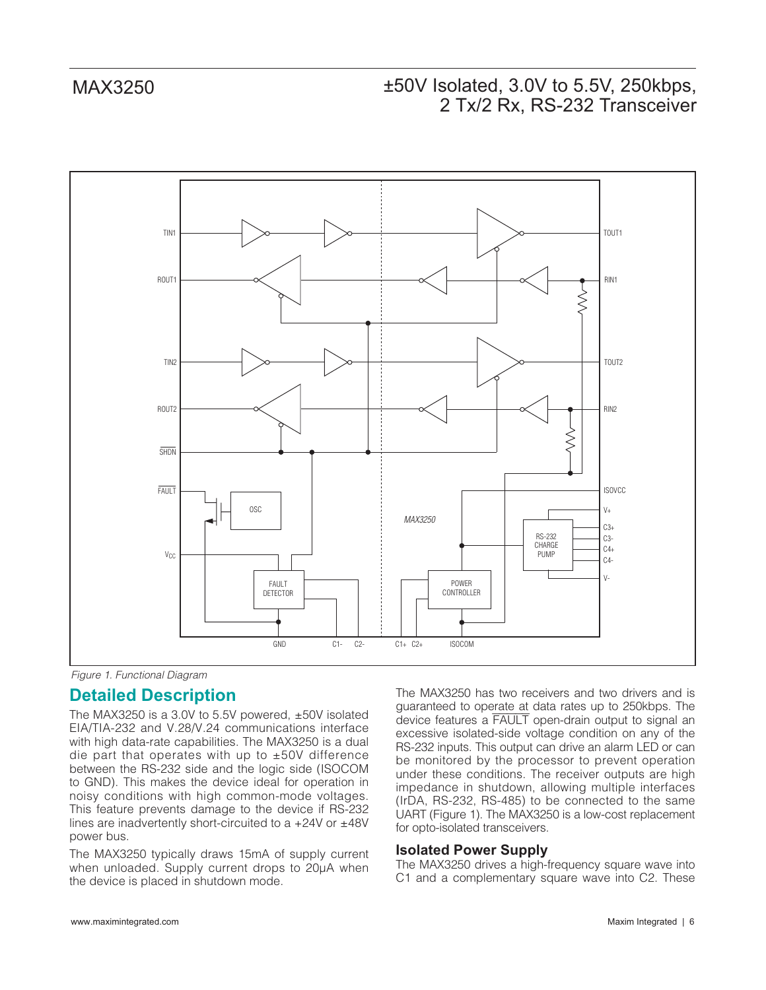



#### **Detailed Description**

The MAX3250 is a 3.0V to 5.5V powered, ±50V isolated EIA/TIA-232 and V.28/V.24 communications interface with high data-rate capabilities. The MAX3250 is a dual die part that operates with up to ±50V difference between the RS-232 side and the logic side (ISOCOM to GND). This makes the device ideal for operation in noisy conditions with high common-mode voltages. This feature prevents damage to the device if RS-232 lines are inadvertently short-circuited to a +24V or ±48V power bus.

The MAX3250 typically draws 15mA of supply current when unloaded. Supply current drops to 20µA when the device is placed in shutdown mode.

The MAX3250 has two receivers and two drivers and is guaranteed to operate at data rates up to 250kbps. The device features a FAULT open-drain output to signal an excessive isolated-side voltage condition on any of the RS-232 inputs. This output can drive an alarm LED or can be monitored by the processor to prevent operation under these conditions. The receiver outputs are high impedance in shutdown, allowing multiple interfaces (IrDA, RS-232, RS-485) to be connected to the same UART (Figure 1). The MAX3250 is a low-cost replacement for opto-isolated transceivers.

#### **Isolated Power Supply**

The MAX3250 drives a high-frequency square wave into C1 and a complementary square wave into C2. These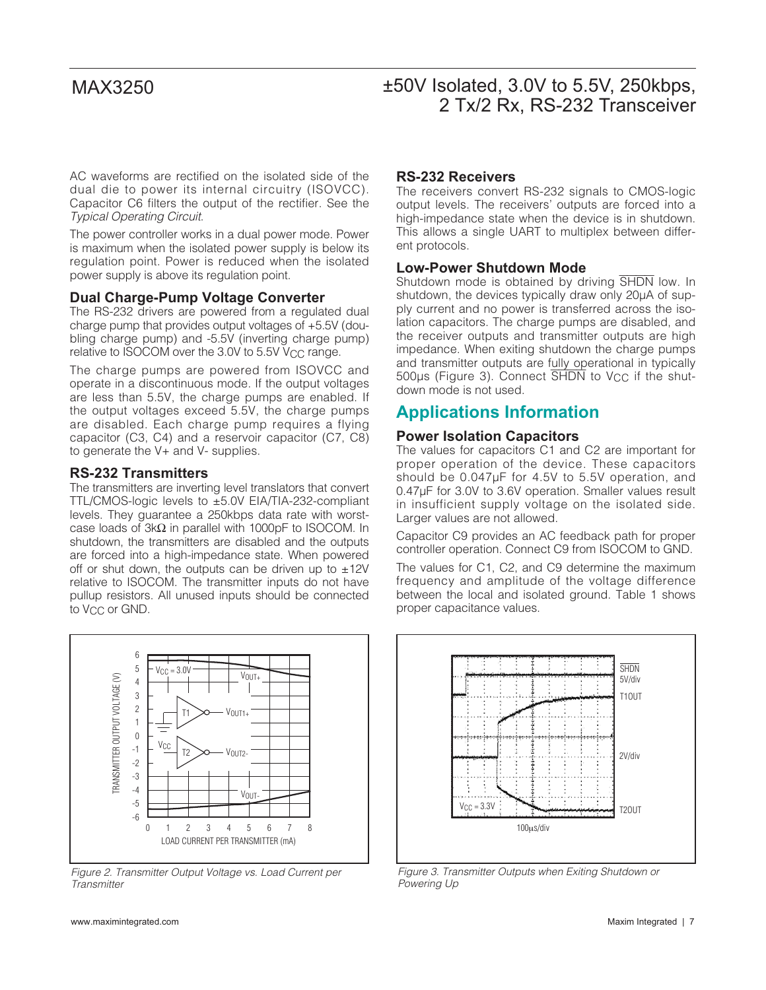AC waveforms are rectified on the isolated side of the dual die to power its internal circuitry (ISOVCC). Capacitor C6 filters the output of the rectifier. See the Typical Operating Circuit.

The power controller works in a dual power mode. Power is maximum when the isolated power supply is below its regulation point. Power is reduced when the isolated power supply is above its regulation point.

#### **Dual Charge-Pump Voltage Converter**

The RS-232 drivers are powered from a regulated dual charge pump that provides output voltages of +5.5V (doubling charge pump) and -5.5V (inverting charge pump) relative to ISOCOM over the 3.0V to  $5.5V$  V<sub>CC</sub> range.

The charge pumps are powered from ISOVCC and operate in a discontinuous mode. If the output voltages are less than 5.5V, the charge pumps are enabled. If the output voltages exceed 5.5V, the charge pumps are disabled. Each charge pump requires a flying capacitor (C3, C4) and a reservoir capacitor (C7, C8) to generate the V+ and V- supplies.

#### **RS-232 Transmitters**

The transmitters are inverting level translators that convert TTL/CMOS-logic levels to ±5.0V EIA/TIA-232-compliant levels. They guarantee a 250kbps data rate with worstcase loads of 3kΩ in parallel with 1000pF to ISOCOM. In shutdown, the transmitters are disabled and the outputs are forced into a high-impedance state. When powered off or shut down, the outputs can be driven up to  $\pm 12V$ relative to ISOCOM. The transmitter inputs do not have pullup resistors. All unused inputs should be connected to V<sub>CC</sub> or GND.



Figure 2. Transmitter Output Voltage vs. Load Current per **Transmitter** 

#### www.maximintegrated.com **Maxim Integrated** | 7

#### **RS-232 Receivers**

The receivers convert RS-232 signals to CMOS-logic output levels. The receivers' outputs are forced into a high-impedance state when the device is in shutdown. This allows a single UART to multiplex between different protocols.

#### **Low-Power Shutdown Mode**

Shutdown mode is obtained by driving SHDN low. In shutdown, the devices typically draw only 20µA of supply current and no power is transferred across the isolation capacitors. The charge pumps are disabled, and the receiver outputs and transmitter outputs are high impedance. When exiting shutdown the charge pumps and transmitter outputs are fully operational in typically 500µs (Figure 3). Connect SHDN to V<sub>CC</sub> if the shutdown mode is not used.

#### **Applications Information**

#### **Power Isolation Capacitors**

The values for capacitors C1 and C2 are important for proper operation of the device. These capacitors should be 0.047µF for 4.5V to 5.5V operation, and 0.47µF for 3.0V to 3.6V operation. Smaller values result in insufficient supply voltage on the isolated side. Larger values are not allowed.

Capacitor C9 provides an AC feedback path for proper controller operation. Connect C9 from ISOCOM to GND.

The values for C1, C2, and C9 determine the maximum frequency and amplitude of the voltage difference between the local and isolated ground. Table 1 shows proper capacitance values.



Figure 3. Transmitter Outputs when Exiting Shutdown or Powering Up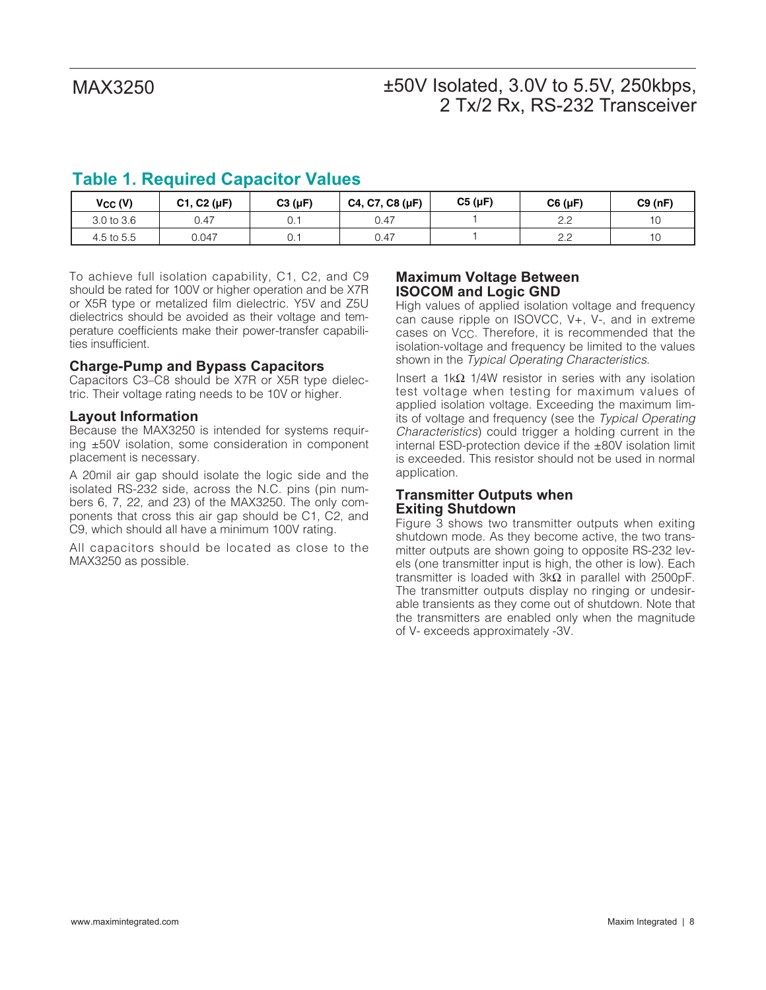## **Table 1. Required Capacitor Values**

| Vcc (V)    | C1, C2 (µF) | $C3(\mu F)$ | C4, C7, C8 (µF) | $C5(\mu F)$ | $C6(\mu F)$ | C9(nF) |
|------------|-------------|-------------|-----------------|-------------|-------------|--------|
| 3.0 to 3.6 | 0.47        |             | 0.47            |             | ے . د       | 10     |
| 4.5 to 5.5 | 0.047       |             | 0.47            |             | ے . د       | 10     |

To achieve full isolation capability, C1, C2, and C9 should be rated for 100V or higher operation and be X7R or X5R type or metalized film dielectric. Y5V and Z5U dielectrics should be avoided as their voltage and temperature coefficients make their power-transfer capabilities insufficient.

#### **Charge-Pump and Bypass Capacitors**

Capacitors C3–C8 should be X7R or X5R type dielectric. Their voltage rating needs to be 10V or higher.

#### **Layout Information**

Because the MAX3250 is intended for systems requiring ±50V isolation, some consideration in component placement is necessary.

A 20mil air gap should isolate the logic side and the isolated RS-232 side, across the N.C. pins (pin numbers 6, 7, 22, and 23) of the MAX3250. The only components that cross this air gap should be C1, C2, and C9, which should all have a minimum 100V rating.

All capacitors should be located as close to the MAX3250 as possible.

#### **Maximum Voltage Between ISOCOM and Logic GND**

High values of applied isolation voltage and frequency can cause ripple on ISOVCC, V+, V-, and in extreme cases on V<sub>CC</sub>. Therefore, it is recommended that the isolation-voltage and frequency be limited to the values shown in the Typical Operating Characteristics.

Insert a 1kΩ 1/4W resistor in series with any isolation test voltage when testing for maximum values of applied isolation voltage. Exceeding the maximum limits of voltage and frequency (see the Typical Operating Characteristics) could trigger a holding current in the internal ESD-protection device if the ±80V isolation limit is exceeded. This resistor should not be used in normal application.

#### **Transmitter Outputs when Exiting Shutdown**

Figure 3 shows two transmitter outputs when exiting shutdown mode. As they become active, the two transmitter outputs are shown going to opposite RS-232 levels (one transmitter input is high, the other is low). Each transmitter is loaded with  $3kΩ$  in parallel with 2500pF. The transmitter outputs display no ringing or undesirable transients as they come out of shutdown. Note that the transmitters are enabled only when the magnitude of V- exceeds approximately -3V.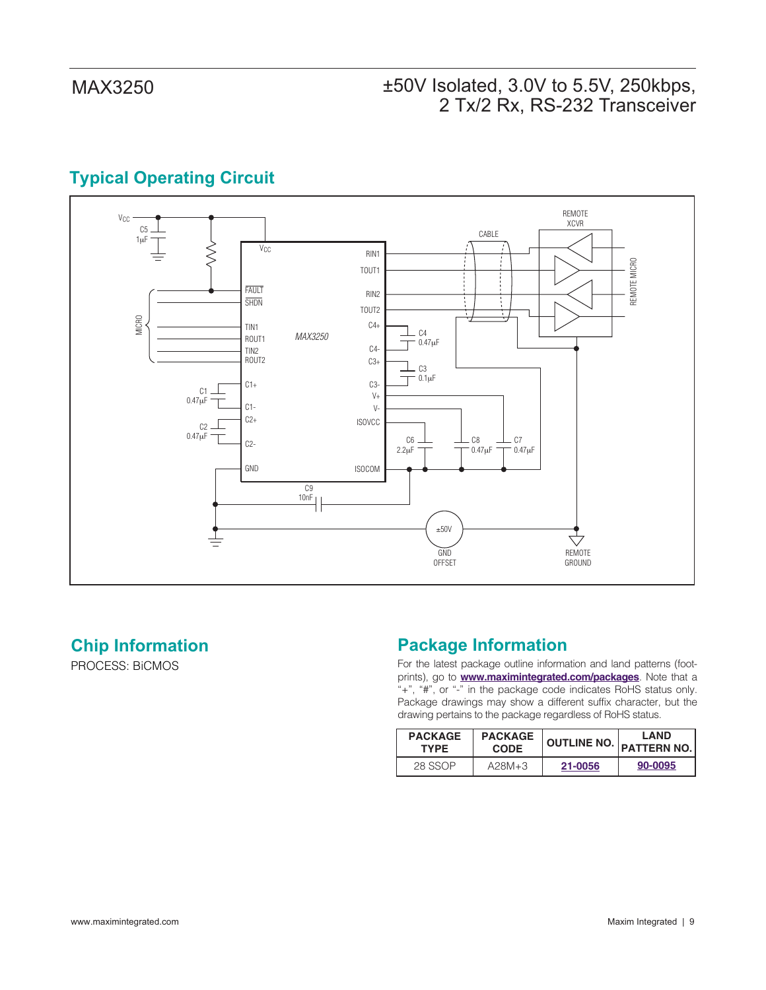# **Typical Operating Circuit**



## **Chip Information**

PROCESS: BiCMOS

# **Package Information**

For the latest package outline information and land patterns (footprints), go to **www.maximintegrated.com/packages**. Note that a "+", "#", or "-" in the package code indicates RoHS status only. Package drawings may show a different suffix character, but the drawing pertains to the package regardless of RoHS status.

| <b>PACKAGE</b> | <b>PACKAGE</b> |         | <b>LAND</b>                |
|----------------|----------------|---------|----------------------------|
| <b>TYPE</b>    | <b>CODE</b>    |         | OUTLINE NO.   PATTERN NO.' |
| 28 SSOP        | $A28M+3$       | 21-0056 | 90-0095                    |